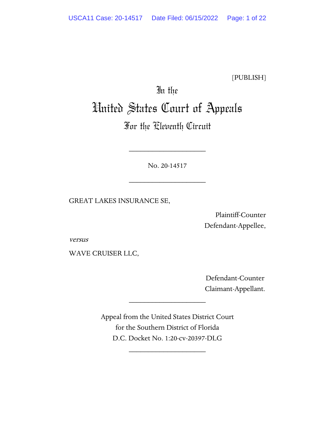[PUBLISH]

# In the United States Court of Appeals

# For the Eleventh Circuit

No. 20-14517

\_\_\_\_\_\_\_\_\_\_\_\_\_\_\_\_\_\_\_\_

\_\_\_\_\_\_\_\_\_\_\_\_\_\_\_\_\_\_\_\_

GREAT LAKES INSURANCE SE,

Plaintiff-Counter Defendant-Appellee,

versus

WAVE CRUISER LLC,

 Defendant-Counter Claimant-Appellant.

Appeal from the United States District Court for the Southern District of Florida D.C. Docket No. 1:20-cv-20397-DLG

\_\_\_\_\_\_\_\_\_\_\_\_\_\_\_\_\_\_\_\_

\_\_\_\_\_\_\_\_\_\_\_\_\_\_\_\_\_\_\_\_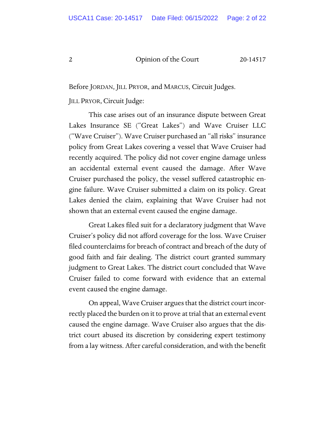Before JORDAN, JILL PRYOR, and MARCUS, Circuit Judges.

JILL PRYOR, Circuit Judge:

This case arises out of an insurance dispute between Great Lakes Insurance SE ("Great Lakes") and Wave Cruiser LLC ("Wave Cruiser"). Wave Cruiser purchased an "all risks" insurance policy from Great Lakes covering a vessel that Wave Cruiser had recently acquired. The policy did not cover engine damage unless an accidental external event caused the damage. After Wave Cruiser purchased the policy, the vessel suffered catastrophic engine failure. Wave Cruiser submitted a claim on its policy. Great Lakes denied the claim, explaining that Wave Cruiser had not shown that an external event caused the engine damage.

Great Lakes filed suit for a declaratory judgment that Wave Cruiser's policy did not afford coverage for the loss. Wave Cruiser filed counterclaims for breach of contract and breach of the duty of good faith and fair dealing. The district court granted summary judgment to Great Lakes. The district court concluded that Wave Cruiser failed to come forward with evidence that an external event caused the engine damage.

On appeal, Wave Cruiser argues that the district court incorrectly placed the burden on it to prove at trial that an external event caused the engine damage. Wave Cruiser also argues that the district court abused its discretion by considering expert testimony from a lay witness. After careful consideration, and with the benefit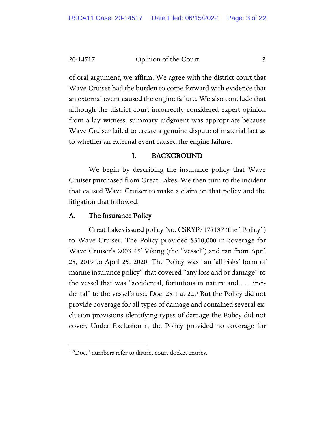20-14517 Common of the Court 3

of oral argument, we affirm. We agree with the district court that Wave Cruiser had the burden to come forward with evidence that an external event caused the engine failure. We also conclude that although the district court incorrectly considered expert opinion from a lay witness, summary judgment was appropriate because Wave Cruiser failed to create a genuine dispute of material fact as to whether an external event caused the engine failure.

# I. BACKGROUND

We begin by describing the insurance policy that Wave Cruiser purchased from Great Lakes. We then turn to the incident that caused Wave Cruiser to make a claim on that policy and the litigation that followed.

# A. The Insurance Policy

 Great Lakes issued policy No. CSRYP/175137 (the "Policy") to Wave Cruiser. The Policy provided \$310,000 in coverage for Wave Cruiser's 2003 45' Viking (the "vessel") and ran from April 25, 2019 to April 25, 2020. The Policy was "an 'all risks' form of marine insurance policy" that covered "any loss and or damage" to the vessel that was "accidental, fortuitous in nature and . . . incidental" to the vessel's use. Doc. 25-1 at 22.[1](#page-2-0) But the Policy did not provide coverage for all types of damage and contained several exclusion provisions identifying types of damage the Policy did not cover. Under Exclusion r, the Policy provided no coverage for

<span id="page-2-0"></span><sup>&</sup>lt;sup>1</sup> "Doc." numbers refer to district court docket entries.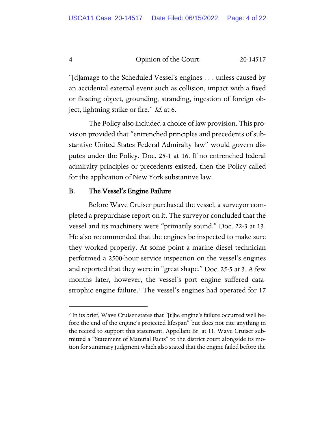"[d]amage to the Scheduled Vessel's engines . . . unless caused by an accidental external event such as collision, impact with a fixed or floating object, grounding, stranding, ingestion of foreign object, lightning strike or fire." *Id.* at 6.

The Policy also included a choice of law provision. This provision provided that "entrenched principles and precedents of substantive United States Federal Admiralty law" would govern disputes under the Policy. Doc. 25-1 at 16. If no entrenched federal admiralty principles or precedents existed, then the Policy called for the application of New York substantive law.

# B. The Vessel's Engine Failure

 Before Wave Cruiser purchased the vessel, a surveyor completed a prepurchase report on it. The surveyor concluded that the vessel and its machinery were "primarily sound." Doc. 22-3 at 13. He also recommended that the engines be inspected to make sure they worked properly. At some point a marine diesel technician performed a 2500-hour service inspection on the vessel's engines and reported that they were in "great shape." Doc. 25-5 at 3. A few months later, however, the vessel's port engine suffered cata-strophic engine failure.<sup>[2](#page-3-0)</sup> The vessel's engines had operated for 17

<span id="page-3-0"></span><sup>2</sup> In its brief, Wave Cruiser states that "[t]he engine's failure occurred well before the end of the engine's projected lifespan" but does not cite anything in the record to support this statement. Appellant Br. at 11. Wave Cruiser submitted a "Statement of Material Facts" to the district court alongside its motion for summary judgment which also stated that the engine failed before the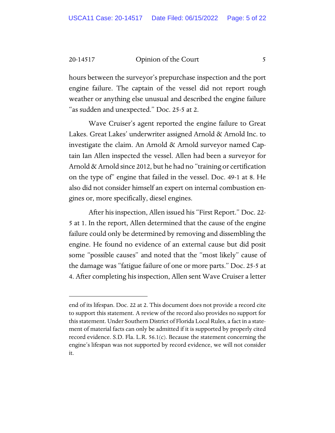hours between the surveyor's prepurchase inspection and the port engine failure. The captain of the vessel did not report rough weather or anything else unusual and described the engine failure "as sudden and unexpected." Doc. 25-5 at 2.

Wave Cruiser's agent reported the engine failure to Great Lakes. Great Lakes' underwriter assigned Arnold & Arnold Inc. to investigate the claim. An Arnold & Arnold surveyor named Captain Ian Allen inspected the vessel. Allen had been a surveyor for Arnold & Arnold since 2012, but he had no "training or certification on the type of" engine that failed in the vessel. Doc. 49-1 at 8. He also did not consider himself an expert on internal combustion engines or, more specifically, diesel engines.

After his inspection, Allen issued his "First Report." Doc. 22- 5 at 1. In the report, Allen determined that the cause of the engine failure could only be determined by removing and dissembling the engine. He found no evidence of an external cause but did posit some "possible causes" and noted that the "most likely" cause of the damage was "fatigue failure of one or more parts." Doc. 25-5 at 4. After completing his inspection, Allen sent Wave Cruiser a letter

end of its lifespan. Doc. 22 at 2. This document does not provide a record cite to support this statement. A review of the record also provides no support for this statement. Under Southern District of Florida Local Rules, a fact in a statement of material facts can only be admitted if it is supported by properly cited record evidence. S.D. Fla. L.R. 56.1(c). Because the statement concerning the engine's lifespan was not supported by record evidence, we will not consider it.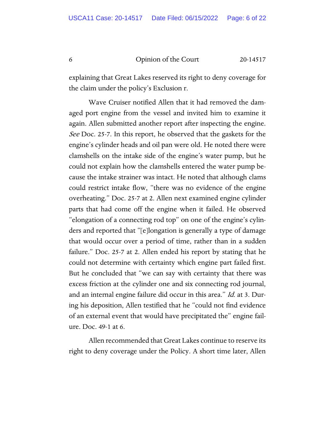explaining that Great Lakes reserved its right to deny coverage for the claim under the policy's Exclusion r.

 Wave Cruiser notified Allen that it had removed the damaged port engine from the vessel and invited him to examine it again. Allen submitted another report after inspecting the engine. See Doc. 25-7. In this report, he observed that the gaskets for the engine's cylinder heads and oil pan were old. He noted there were clamshells on the intake side of the engine's water pump, but he could not explain how the clamshells entered the water pump because the intake strainer was intact. He noted that although clams could restrict intake flow, "there was no evidence of the engine overheating." Doc. 25-7 at 2. Allen next examined engine cylinder parts that had come off the engine when it failed. He observed "elongation of a connecting rod top" on one of the engine's cylinders and reported that "[e]longation is generally a type of damage that would occur over a period of time, rather than in a sudden failure." Doc. 25-7 at 2. Allen ended his report by stating that he could not determine with certainty which engine part failed first. But he concluded that "we can say with certainty that there was excess friction at the cylinder one and six connecting rod journal, and an internal engine failure did occur in this area." Id. at 3. During his deposition, Allen testified that he "could not find evidence of an external event that would have precipitated the" engine failure. Doc. 49-1 at 6.

Allen recommended that Great Lakes continue to reserve its right to deny coverage under the Policy. A short time later, Allen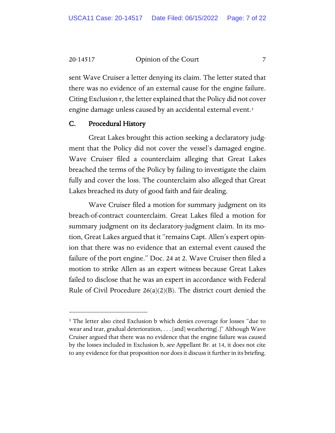20-14517 **Community** Opinion of the Court 7

sent Wave Cruiser a letter denying its claim. The letter stated that there was no evidence of an external cause for the engine failure. Citing Exclusion r, the letter explained that the Policy did not cover engine damage unless caused by an accidental external event.<sup>[3](#page-6-0)</sup>

#### C. Procedural History

Great Lakes brought this action seeking a declaratory judgment that the Policy did not cover the vessel's damaged engine. Wave Cruiser filed a counterclaim alleging that Great Lakes breached the terms of the Policy by failing to investigate the claim fully and cover the loss. The counterclaim also alleged that Great Lakes breached its duty of good faith and fair dealing.

Wave Cruiser filed a motion for summary judgment on its breach-of-contract counterclaim. Great Lakes filed a motion for summary judgment on its declaratory-judgment claim. In its motion, Great Lakes argued that it "remains Capt. Allen's expert opinion that there was no evidence that an external event caused the failure of the port engine." Doc. 24 at 2. Wave Cruiser then filed a motion to strike Allen as an expert witness because Great Lakes failed to disclose that he was an expert in accordance with Federal Rule of Civil Procedure 26(a)(2)(B). The district court denied the

<span id="page-6-0"></span><sup>&</sup>lt;sup>3</sup> The letter also cited Exclusion b which denies coverage for losses "due to wear and tear, gradual deterioration, . . . [and] weathering[.]" Although Wave Cruiser argued that there was no evidence that the engine failure was caused by the losses included in Exclusion b, see Appellant Br. at 14, it does not cite to any evidence for that proposition nor does it discuss it further in its briefing.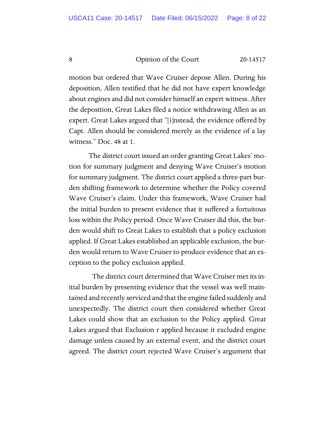motion but ordered that Wave Cruiser depose Allen. During his deposition, Allen testified that he did not have expert knowledge about engines and did not consider himself an expert witness. After the deposition, Great Lakes filed a notice withdrawing Allen as an expert. Great Lakes argued that "[i]nstead, the evidence offered by Capt. Allen should be considered merely as the evidence of a lay witness." Doc. 48 at 1.

The district court issued an order granting Great Lakes' motion for summary judgment and denying Wave Cruiser's motion for summary judgment. The district court applied a three-part burden shifting framework to determine whether the Policy covered Wave Cruiser's claim. Under this framework, Wave Cruiser had the initial burden to present evidence that it suffered a fortuitous loss within the Policy period. Once Wave Cruiser did this, the burden would shift to Great Lakes to establish that a policy exclusion applied. If Great Lakes established an applicable exclusion, the burden would return to Wave Cruiser to produce evidence that an exception to the policy exclusion applied.

 The district court determined that Wave Cruiser met its initial burden by presenting evidence that the vessel was well maintained and recently serviced and that the engine failed suddenly and unexpectedly. The district court then considered whether Great Lakes could show that an exclusion to the Policy applied. Great Lakes argued that Exclusion r applied because it excluded engine damage unless caused by an external event, and the district court agreed. The district court rejected Wave Cruiser's argument that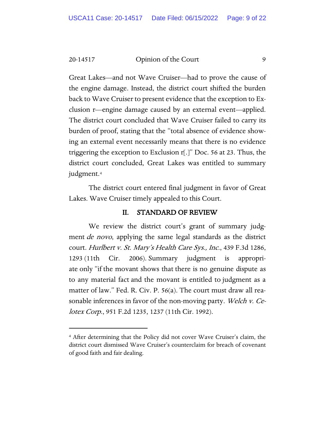Great Lakes—and not Wave Cruiser—had to prove the cause of the engine damage. Instead, the district court shifted the burden back to Wave Cruiser to present evidence that the exception to Exclusion r—engine damage caused by an external event—applied. The district court concluded that Wave Cruiser failed to carry its burden of proof, stating that the "total absence of evidence showing an external event necessarily means that there is no evidence triggering the exception to Exclusion r[.]" Doc. 56 at 23. Thus, the district court concluded, Great Lakes was entitled to summary judgment.[4](#page-8-0)

The district court entered final judgment in favor of Great Lakes. Wave Cruiser timely appealed to this Court.

# II. STANDARD OF REVIEW

We review the district court's grant of summary judgment *de novo*, applying the same legal standards as the district court. Hurlbert v. St. Mary's Health Care Sys., Inc., 439 F.3d 1286, 1293 (11th Cir. 2006). Summary judgment is appropriate only "if the movant shows that there is no genuine dispute as to any material fact and the movant is entitled to judgment as a matter of law." Fed. R. Civ. P. 56(a). The court must draw all reasonable inferences in favor of the non-moving party. Welch v. Celotex Corp., 951 F.2d 1235, 1237 (11th Cir. 1992).

<span id="page-8-0"></span><sup>4</sup> After determining that the Policy did not cover Wave Cruiser's claim, the district court dismissed Wave Cruiser's counterclaim for breach of covenant of good faith and fair dealing.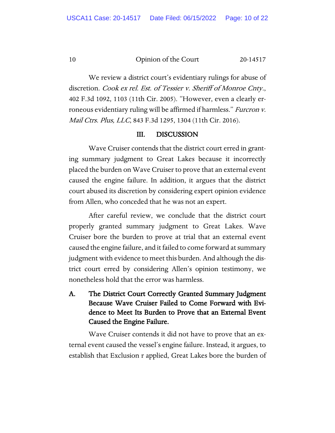We review a district court's evidentiary rulings for abuse of

discretion. Cook ex rel. Est. of Tessier v. Sheriff of Monroe Cnty., 402 F.3d 1092, 1103 (11th Cir. 2005). "However, even a clearly erroneous evidentiary ruling will be affirmed if harmless." Furcron v. Mail Ctrs. Plus, LLC, 843 F.3d 1295, 1304 (11th Cir. 2016).

# III. DISCUSSION

Wave Cruiser contends that the district court erred in granting summary judgment to Great Lakes because it incorrectly placed the burden on Wave Cruiser to prove that an external event caused the engine failure. In addition, it argues that the district court abused its discretion by considering expert opinion evidence from Allen, who conceded that he was not an expert.

After careful review, we conclude that the district court properly granted summary judgment to Great Lakes. Wave Cruiser bore the burden to prove at trial that an external event caused the engine failure, and it failed to come forward at summary judgment with evidence to meet this burden. And although the district court erred by considering Allen's opinion testimony, we nonetheless hold that the error was harmless.

A. The District Court Correctly Granted Summary Judgment Because Wave Cruiser Failed to Come Forward with Evidence to Meet Its Burden to Prove that an External Event Caused the Engine Failure.

Wave Cruiser contends it did not have to prove that an external event caused the vessel's engine failure. Instead, it argues, to establish that Exclusion r applied, Great Lakes bore the burden of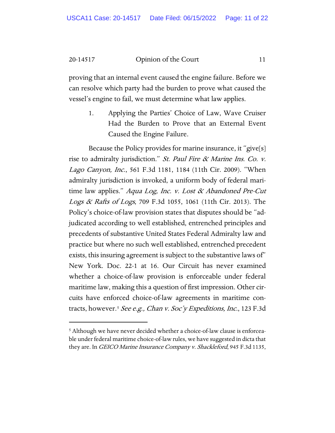proving that an internal event caused the engine failure. Before we can resolve which party had the burden to prove what caused the vessel's engine to fail, we must determine what law applies.

1. Applying the Parties' Choice of Law, Wave Cruiser Had the Burden to Prove that an External Event Caused the Engine Failure.

Because the Policy provides for marine insurance, it "give[s] rise to admiralty jurisdiction." St. Paul Fire & Marine Ins. Co. v. Lago Canyon, Inc., 561 F.3d 1181, 1184 (11th Cir. 2009). "When admiralty jurisdiction is invoked, a uniform body of federal maritime law applies." Aqua Log, Inc. v. Lost  $\alpha$  Abandoned Pre-Cut Logs & Rafts of Logs, 709 F.3d 1055, 1061 (11th Cir. 2013). The Policy's choice-of-law provision states that disputes should be "adjudicated according to well established, entrenched principles and precedents of substantive United States Federal Admiralty law and practice but where no such well established, entrenched precedent exists, this insuring agreement is subject to the substantive laws of" New York. Doc. 22-1 at 16. Our Circuit has never examined whether a choice-of-law provision is enforceable under federal maritime law, making this a question of first impression. Other circuits have enforced choice-of-law agreements in maritime con-tracts, however.<sup>[5](#page-10-0)</sup> See e.g., Chan v. Soc'y Expeditions, Inc., 123 F.3d

<span id="page-10-0"></span><sup>&</sup>lt;sup>5</sup> Although we have never decided whether a choice-of-law clause is enforceable under federal maritime choice-of-law rules, we have suggested in dicta that they are. In *GEICO Marine Insurance Company v. Shackleford*, 945 F.3d 1135,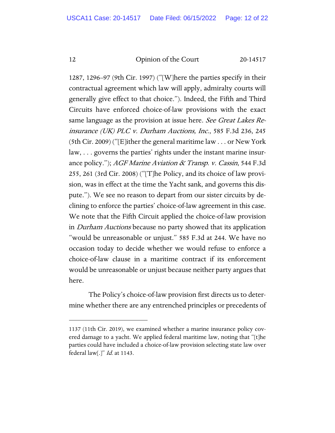1287, 1296–97 (9th Cir. 1997) ("[W]here the parties specify in their contractual agreement which law will apply, admiralty courts will generally give effect to that choice."). Indeed, the Fifth and Third Circuits have enforced choice-of-law provisions with the exact same language as the provision at issue here. See Great Lakes Reinsurance (UK) PLC v. Durham Auctions, Inc., 585 F.3d 236, 245 (5th Cir. 2009) ("[E]ither the general maritime law . . . or New York law, . . . governs the parties' rights under the instant marine insurance policy."); AGF Marine Aviation & Transp. v. Cassin, 544 F.3d 255, 261 (3rd Cir. 2008) ("[T]he Policy, and its choice of law provision, was in effect at the time the Yacht sank, and governs this dispute."). We see no reason to depart from our sister circuits by declining to enforce the parties' choice-of-law agreement in this case. We note that the Fifth Circuit applied the choice-of-law provision in *Durham Auctions* because no party showed that its application "would be unreasonable or unjust." 585 F.3d at 244. We have no occasion today to decide whether we would refuse to enforce a choice-of-law clause in a maritime contract if its enforcement would be unreasonable or unjust because neither party argues that here.

The Policy's choice-of-law provision first directs us to determine whether there are any entrenched principles or precedents of

<sup>1137 (11</sup>th Cir. 2019), we examined whether a marine insurance policy covered damage to a yacht. We applied federal maritime law, noting that "[t]he parties could have included a choice-of-law provision selecting state law over federal law[.]"  $Id.$  at 1143.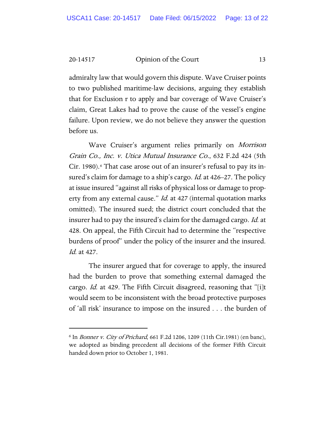admiralty law that would govern this dispute. Wave Cruiser points to two published maritime-law decisions, arguing they establish that for Exclusion r to apply and bar coverage of Wave Cruiser's claim, Great Lakes had to prove the cause of the vessel's engine failure. Upon review, we do not believe they answer the question before us.

Wave Cruiser's argument relies primarily on Morrison Grain Co., Inc. v. Utica Mutual Insurance Co., 632 F.2d 424 (5th Cir. 1980).<sup>[6](#page-12-0)</sup> That case arose out of an insurer's refusal to pay its insured's claim for damage to a ship's cargo. *Id.* at 426–27. The policy at issue insured "against all risks of physical loss or damage to property from any external cause." *Id.* at 427 (internal quotation marks omitted). The insured sued; the district court concluded that the insurer had to pay the insured's claim for the damaged cargo. Id. at 428. On appeal, the Fifth Circuit had to determine the "respective burdens of proof" under the policy of the insurer and the insured. Id. at 427.

 The insurer argued that for coverage to apply, the insured had the burden to prove that something external damaged the cargo. *Id.* at 429. The Fifth Circuit disagreed, reasoning that "[i]t would seem to be inconsistent with the broad protective purposes of 'all risk' insurance to impose on the insured . . . the burden of

<span id="page-12-0"></span><sup>6</sup> In Bonner v. City of Prichard, 661 F.2d 1206, 1209 (11th Cir.1981) (en banc), we adopted as binding precedent all decisions of the former Fifth Circuit handed down prior to October 1, 1981.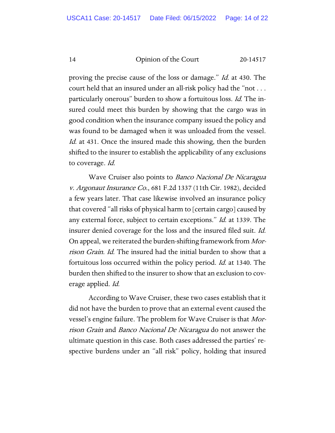proving the precise cause of the loss or damage." Id. at 430. The court held that an insured under an all-risk policy had the "not . . . particularly onerous" burden to show a fortuitous loss. Id. The insured could meet this burden by showing that the cargo was in good condition when the insurance company issued the policy and was found to be damaged when it was unloaded from the vessel. Id. at 431. Once the insured made this showing, then the burden shifted to the insurer to establish the applicability of any exclusions to coverage. Id.

Wave Cruiser also points to Banco Nacional De Nicaragua v. Argonaut Insurance Co., 681 F.2d 1337 (11th Cir. 1982), decided a few years later. That case likewise involved an insurance policy that covered "all risks of physical harm to [certain cargo] caused by any external force, subject to certain exceptions." *Id.* at 1339. The insurer denied coverage for the loss and the insured filed suit. Id. On appeal, we reiterated the burden-shifting framework from Morrison Grain. Id. The insured had the initial burden to show that a fortuitous loss occurred within the policy period. Id. at 1340. The burden then shifted to the insurer to show that an exclusion to coverage applied. Id.

According to Wave Cruiser, these two cases establish that it did not have the burden to prove that an external event caused the vessel's engine failure. The problem for Wave Cruiser is that Morrison Grain and Banco Nacional De Nicaragua do not answer the ultimate question in this case. Both cases addressed the parties' respective burdens under an "all risk" policy, holding that insured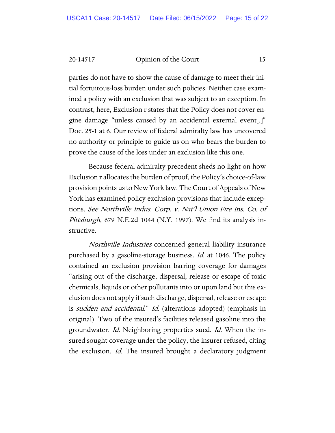parties do not have to show the cause of damage to meet their initial fortuitous-loss burden under such policies. Neither case examined a policy with an exclusion that was subject to an exception. In contrast, here, Exclusion r states that the Policy does not cover engine damage "unless caused by an accidental external event[.]" Doc. 25-1 at 6. Our review of federal admiralty law has uncovered no authority or principle to guide us on who bears the burden to prove the cause of the loss under an exclusion like this one.

Because federal admiralty precedent sheds no light on how Exclusion r allocates the burden of proof, the Policy's choice-of-law provision points us to New York law. The Court of Appeals of New York has examined policy exclusion provisions that include exceptions. See Northville Indus. Corp. v. Nat'l Union Fire Ins. Co. of Pittsburgh, 679 N.E.2d 1044 (N.Y. 1997). We find its analysis instructive.

Northville Industries concerned general liability insurance purchased by a gasoline-storage business. *Id.* at 1046. The policy contained an exclusion provision barring coverage for damages "arising out of the discharge, dispersal, release or escape of toxic chemicals, liquids or other pollutants into or upon land but this exclusion does not apply if such discharge, dispersal, release or escape is *sudden and accidental.*" Id. (alterations adopted) (emphasis in original). Two of the insured's facilities released gasoline into the groundwater. Id. Neighboring properties sued. Id. When the insured sought coverage under the policy, the insurer refused, citing the exclusion. Id. The insured brought a declaratory judgment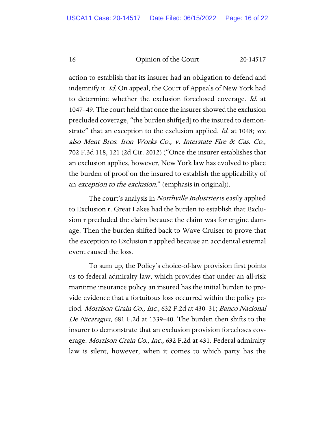action to establish that its insurer had an obligation to defend and indemnify it. Id. On appeal, the Court of Appeals of New York had to determine whether the exclusion foreclosed coverage. Id. at 1047–49. The court held that once the insurer showed the exclusion precluded coverage, "the burden shift[ed] to the insured to demonstrate" that an exception to the exclusion applied. *Id.* at 1048; see also Ment Bros. Iron Works Co., v. Interstate Fire & Cas. Co., 702 F.3d 118, 121 (2d Cir. 2012) ("Once the insurer establishes that an exclusion applies, however, New York law has evolved to place the burden of proof on the insured to establish the applicability of an *exception to the exclusion*." (emphasis in original)).

The court's analysis in *Northville Industries* is easily applied to Exclusion r. Great Lakes had the burden to establish that Exclusion r precluded the claim because the claim was for engine damage. Then the burden shifted back to Wave Cruiser to prove that the exception to Exclusion r applied because an accidental external event caused the loss.

To sum up, the Policy's choice-of-law provision first points us to federal admiralty law, which provides that under an all-risk maritime insurance policy an insured has the initial burden to provide evidence that a fortuitous loss occurred within the policy period. Morrison Grain Co., Inc., 632 F.2d at 430–31; Banco Nacional De Nicaragua, 681 F.2d at 1339–40. The burden then shifts to the insurer to demonstrate that an exclusion provision forecloses coverage. *Morrison Grain Co., Inc.,* 632 F.2d at 431. Federal admiralty law is silent, however, when it comes to which party has the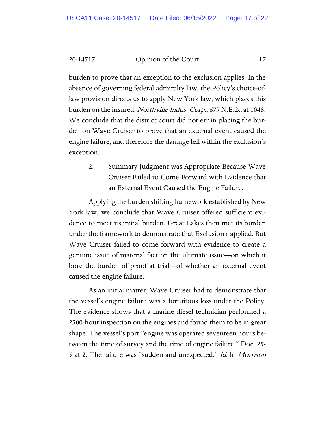20-14517 Common of the Court 17

burden to prove that an exception to the exclusion applies. In the absence of governing federal admiralty law, the Policy's choice-oflaw provision directs us to apply New York law, which places this burden on the insured. Northville Indus. Corp., 679 N.E.2d at 1048. We conclude that the district court did not err in placing the burden on Wave Cruiser to prove that an external event caused the engine failure, and therefore the damage fell within the exclusion's exception.

> 2. Summary Judgment was Appropriate Because Wave Cruiser Failed to Come Forward with Evidence that an External Event Caused the Engine Failure.

Applying the burden shifting framework established by New York law, we conclude that Wave Cruiser offered sufficient evidence to meet its initial burden. Great Lakes then met its burden under the framework to demonstrate that Exclusion r applied. But Wave Cruiser failed to come forward with evidence to create a genuine issue of material fact on the ultimate issue—on which it bore the burden of proof at trial—of whether an external event caused the engine failure.

As an initial matter, Wave Cruiser had to demonstrate that the vessel's engine failure was a fortuitous loss under the Policy. The evidence shows that a marine diesel technician performed a 2500-hour inspection on the engines and found them to be in great shape. The vessel's port "engine was operated seventeen hours between the time of survey and the time of engine failure." Doc. 25- 5 at 2. The failure was "sudden and unexpected." Id. In Morrison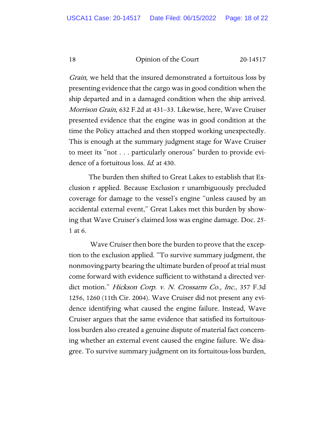Grain, we held that the insured demonstrated a fortuitous loss by presenting evidence that the cargo was in good condition when the ship departed and in a damaged condition when the ship arrived. Morrison Grain, 632 F.2d at 431–33. Likewise, here, Wave Cruiser presented evidence that the engine was in good condition at the time the Policy attached and then stopped working unexpectedly. This is enough at the summary judgment stage for Wave Cruiser to meet its "not . . . particularly onerous" burden to provide evidence of a fortuitous loss. *Id.* at 430.

The burden then shifted to Great Lakes to establish that Exclusion r applied. Because Exclusion r unambiguously precluded coverage for damage to the vessel's engine "unless caused by an accidental external event," Great Lakes met this burden by showing that Wave Cruiser's claimed loss was engine damage. Doc. 25- 1 at 6.

Wave Cruiser then bore the burden to prove that the exception to the exclusion applied. "To survive summary judgment, the nonmoving party bearing the ultimate burden of proof at trial must come forward with evidence sufficient to withstand a directed verdict motion." Hickson Corp. v. N. Crossarm Co., Inc., 357 F.3d 1256, 1260 (11th Cir. 2004). Wave Cruiser did not present any evidence identifying what caused the engine failure. Instead, Wave Cruiser argues that the same evidence that satisfied its fortuitousloss burden also created a genuine dispute of material fact concerning whether an external event caused the engine failure. We disagree. To survive summary judgment on its fortuitous-loss burden,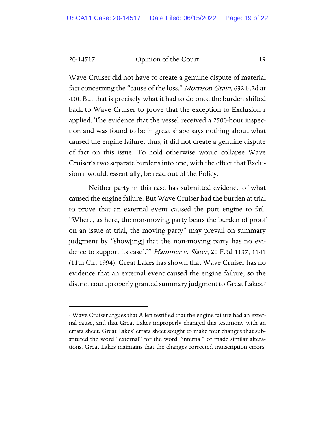Wave Cruiser did not have to create a genuine dispute of material fact concerning the "cause of the loss." *Morrison Grain*, 632 F.2d at 430. But that is precisely what it had to do once the burden shifted back to Wave Cruiser to prove that the exception to Exclusion r applied. The evidence that the vessel received a 2500-hour inspection and was found to be in great shape says nothing about what caused the engine failure; thus, it did not create a genuine dispute of fact on this issue. To hold otherwise would collapse Wave Cruiser's two separate burdens into one, with the effect that Exclusion r would, essentially, be read out of the Policy.

Neither party in this case has submitted evidence of what caused the engine failure. But Wave Cruiser had the burden at trial to prove that an external event caused the port engine to fail. "Where, as here, the non-moving party bears the burden of proof on an issue at trial, the moving party" may prevail on summary judgment by "show[ing] that the non-moving party has no evidence to support its case[.]" *Hammer v. Slater*, 20 F.3d 1137, 1141 (11th Cir. 1994). Great Lakes has shown that Wave Cruiser has no evidence that an external event caused the engine failure, so the district court properly granted summary judgment to Great Lakes[.7](#page-18-0)

<span id="page-18-0"></span><sup>7</sup> Wave Cruiser argues that Allen testified that the engine failure had an external cause, and that Great Lakes improperly changed this testimony with an errata sheet. Great Lakes' errata sheet sought to make four changes that substituted the word "external" for the word "internal" or made similar alterations. Great Lakes maintains that the changes corrected transcription errors.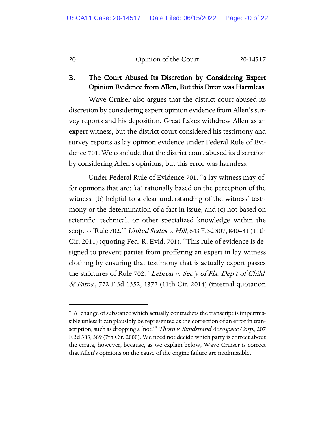# B. The Court Abused Its Discretion by Considering Expert Opinion Evidence from Allen, But this Error was Harmless.

Wave Cruiser also argues that the district court abused its discretion by considering expert opinion evidence from Allen's survey reports and his deposition. Great Lakes withdrew Allen as an expert witness, but the district court considered his testimony and survey reports as lay opinion evidence under Federal Rule of Evidence 701. We conclude that the district court abused its discretion by considering Allen's opinions, but this error was harmless.

Under Federal Rule of Evidence 701, "a lay witness may offer opinions that are: '(a) rationally based on the perception of the witness, (b) helpful to a clear understanding of the witness' testimony or the determination of a fact in issue, and (c) not based on scientific, technical, or other specialized knowledge within the scope of Rule 702." *United States v. Hill*, 643 F.3d 807, 840–41 (11th Cir. 2011) (quoting Fed. R. Evid. 701). "This rule of evidence is designed to prevent parties from proffering an expert in lay witness clothing by ensuring that testimony that is actually expert passes the strictures of Rule 702." Lebron v. Sec'y of Fla. Dep't of Child.  $\alpha$  Fams., 772 F.3d 1352, 1372 (11th Cir. 2014) (internal quotation

<sup>&</sup>quot;[A] change of substance which actually contradicts the transcript is impermissible unless it can plausibly be represented as the correction of an error in transcription, such as dropping a 'not.'" Thorn v. Sundstrand Aerospace Corp., 207 F.3d 383, 389 (7th Cir. 2000). We need not decide which party is correct about the errata, however, because, as we explain below, Wave Cruiser is correct that Allen's opinions on the cause of the engine failure are inadmissible.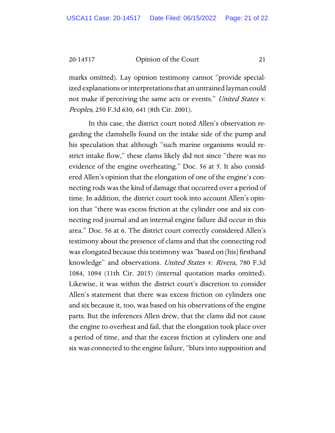marks omitted). Lay opinion testimony cannot "provide specialized explanations or interpretations that an untrained layman could not make if perceiving the same acts or events." United States v. Peoples, 250 F.3d 630, 641 (8th Cir. 2001).

In this case, the district court noted Allen's observation regarding the clamshells found on the intake side of the pump and his speculation that although "such marine organisms would restrict intake flow," these clams likely did not since "there was no evidence of the engine overheating." Doc. 56 at 5. It also considered Allen's opinion that the elongation of one of the engine's connecting rods was the kind of damage that occurred over a period of time. In addition, the district court took into account Allen's opinion that "there was excess friction at the cylinder one and six connecting rod journal and an internal engine failure did occur in this area." Doc. 56 at 6. The district court correctly considered Allen's testimony about the presence of clams and that the connecting rod was elongated because this testimony was "based on [his] firsthand knowledge" and observations. United States v. Rivera, 780 F.3d 1084, 1094 (11th Cir. 2015) (internal quotation marks omitted). Likewise, it was within the district court's discretion to consider Allen's statement that there was excess friction on cylinders one and six because it, too, was based on his observations of the engine parts. But the inferences Allen drew, that the clams did not cause the engine to overheat and fail, that the elongation took place over a period of time, and that the excess friction at cylinders one and six was connected to the engine failure, "blurs into supposition and